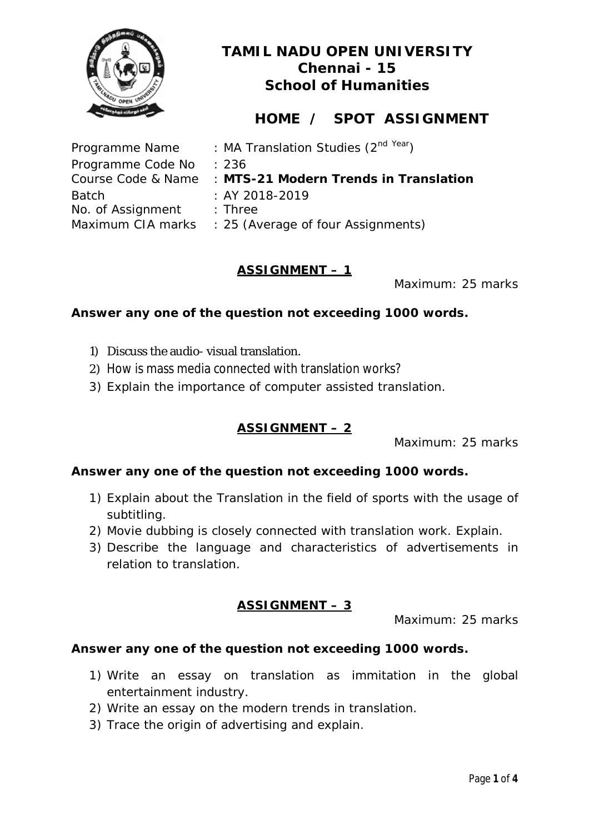

# **HOME / SPOT ASSIGNMENT**

| : MA Translation Studies (2 <sup>nd Year</sup> )         |
|----------------------------------------------------------|
| : 236                                                    |
| Course Code & Name : MTS-21 Modern Trends in Translation |
| $: AY 2018 - 2019$                                       |
| $:$ Three                                                |
| Maximum CIA marks : 25 (Average of four Assignments)     |
|                                                          |

### **ASSIGNMENT – 1**

Maximum: 25 marks

### **Answer any one of the question not exceeding 1000 words.**

- 1) Discuss the audio- visual translation.
- 2) How is mass media connected with translation works?
- 3) Explain the importance of computer assisted translation.

### **ASSIGNMENT – 2**

Maximum: 25 marks

#### **Answer any one of the question not exceeding 1000 words.**

- 1) Explain about the Translation in the field of sports with the usage of subtitling.
- 2) Movie dubbing is closely connected with translation work. Explain.
- 3) Describe the language and characteristics of advertisements in relation to translation.

### **ASSIGNMENT – 3**

Maximum: 25 marks

- 1) Write an essay on translation as immitation in the global entertainment industry.
- 2) Write an essay on the modern trends in translation.
- 3) Trace the origin of advertising and explain.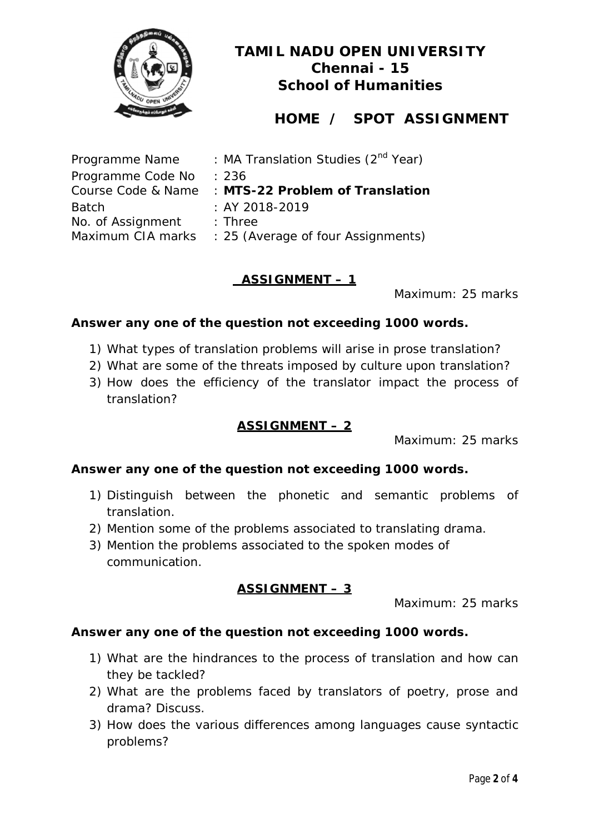

# **HOME / SPOT ASSIGNMENT**

| Programme Name    | : MA Translation Studies (2 <sup>nd</sup> Year)    |
|-------------------|----------------------------------------------------|
| Programme Code No | : 236                                              |
|                   | Course Code & Name : MTS-22 Problem of Translation |
| <b>Batch</b>      | $: AY 2018 - 2019$                                 |
| No. of Assignment | $:$ Three                                          |
| Maximum CIA marks | : 25 (Average of four Assignments)                 |

### **ASSIGNMENT – 1**

Maximum: 25 marks

### **Answer any one of the question not exceeding 1000 words.**

- 1) What types of translation problems will arise in prose translation?
- 2) What are some of the threats imposed by culture upon translation?
- 3) How does the efficiency of the translator impact the process of translation?

### **ASSIGNMENT – 2**

Maximum: 25 marks

### **Answer any one of the question not exceeding 1000 words.**

- 1) Distinguish between the phonetic and semantic problems of translation.
- 2) Mention some of the problems associated to translating drama.
- 3) Mention the problems associated to the spoken modes of communication.

### **ASSIGNMENT – 3**

Maximum: 25 marks

- 1) What are the hindrances to the process of translation and how can they be tackled?
- 2) What are the problems faced by translators of poetry, prose and drama? Discuss.
- 3) How does the various differences among languages cause syntactic problems?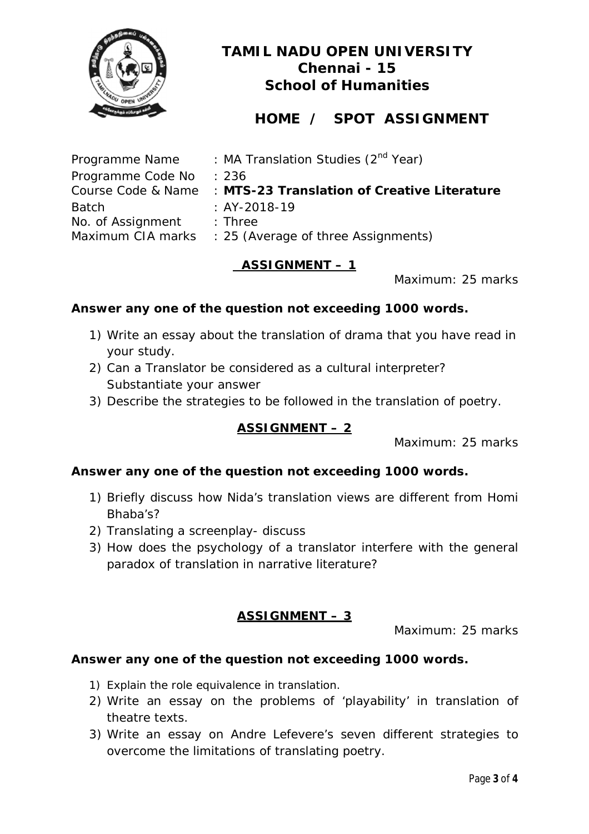

# **HOME / SPOT ASSIGNMENT**

| Programme Name    | : MA Translation Studies (2 <sup>nd</sup> Year)                |
|-------------------|----------------------------------------------------------------|
| Programme Code No | : 236                                                          |
|                   | Course Code & Name : MTS-23 Translation of Creative Literature |
| <b>Batch</b>      | $: AY-2018-19$                                                 |
| No. of Assignment | $\therefore$ Three                                             |
|                   | Maximum CIA marks : 25 (Average of three Assignments)          |

### **ASSIGNMENT – 1**

Maximum: 25 marks

### **Answer any one of the question not exceeding 1000 words.**

- 1) Write an essay about the translation of drama that you have read in your study.
- 2) Can a Translator be considered as a cultural interpreter? Substantiate your answer
- 3) Describe the strategies to be followed in the translation of poetry.

### **ASSIGNMENT – 2**

Maximum: 25 marks

### **Answer any one of the question not exceeding 1000 words.**

- 1) Briefly discuss how Nida's translation views are different from Homi Bhaba's?
- 2) Translating a screenplay- discuss
- 3) How does the psychology of a translator interfere with the general paradox of translation in narrative literature?

### **ASSIGNMENT – 3**

Maximum: 25 marks

- 1) Explain the role equivalence in translation.
- 2) Write an essay on the problems of 'playability' in translation of theatre texts.
- 3) Write an essay on Andre Lefevere's seven different strategies to overcome the limitations of translating poetry.